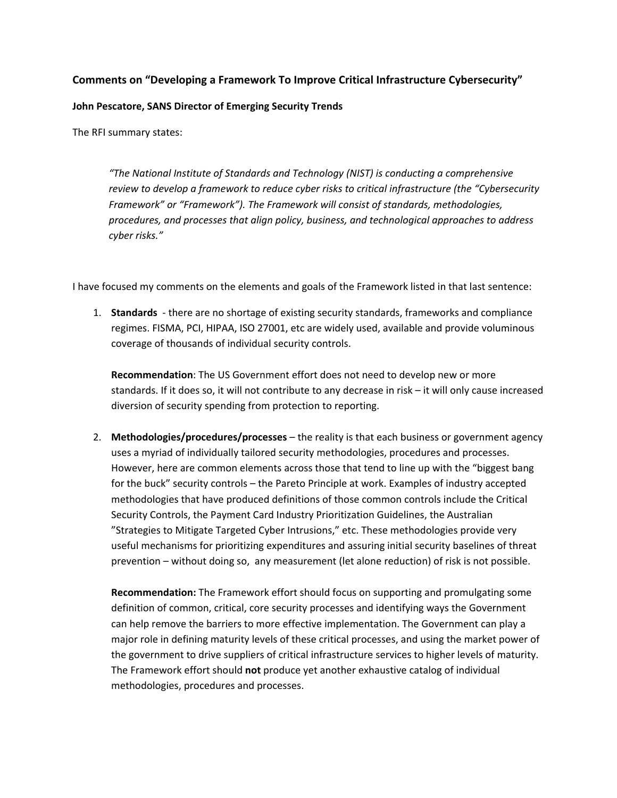## **Comments on "Developing a Framework To Improve Critical Infrastructure Cybersecurity"**

## **John Pescatore, SANS Director of Emerging Security Trends**

The RFI summary states:

*"The National Institute of Standards and Technology (NIST) is conducting a comprehensive review to develop a framework to reduce cyber risks to critical infrastructure (the "Cybersecurity Framework" or "Framework"). The Framework will consist of standards, methodologies, procedures, and processes that align policy, business, and technological approaches to address cyber risks."*

I have focused my comments on the elements and goals of the Framework listed in that last sentence:

1. **Standards** - there are no shortage of existing security standards, frameworks and compliance regimes. FISMA, PCI, HIPAA, ISO 27001, etc are widely used, available and provide voluminous coverage of thousands of individual security controls.

**Recommendation**: The US Government effort does not need to develop new or more standards. If it does so, it will not contribute to any decrease in risk – it will only cause increased diversion of security spending from protection to reporting.

2. **Methodologies/procedures/processes** – the reality is that each business or government agency uses a myriad of individually tailored security methodologies, procedures and processes. However, here are common elements across those that tend to line up with the "biggest bang for the buck" security controls – the Pareto Principle at work. Examples of industry accepted methodologies that have produced definitions of those common controls include the Critical Security Controls, the Payment Card Industry Prioritization Guidelines, the Australian "Strategies to Mitigate Targeted Cyber Intrusions," etc. These methodologies provide very useful mechanisms for prioritizing expenditures and assuring initial security baselines of threat prevention – without doing so, any measurement (let alone reduction) of risk is not possible.

**Recommendation:** The Framework effort should focus on supporting and promulgating some definition of common, critical, core security processes and identifying ways the Government can help remove the barriers to more effective implementation. The Government can play a major role in defining maturity levels of these critical processes, and using the market power of the government to drive suppliers of critical infrastructure services to higher levels of maturity. The Framework effort should **not** produce yet another exhaustive catalog of individual methodologies, procedures and processes.